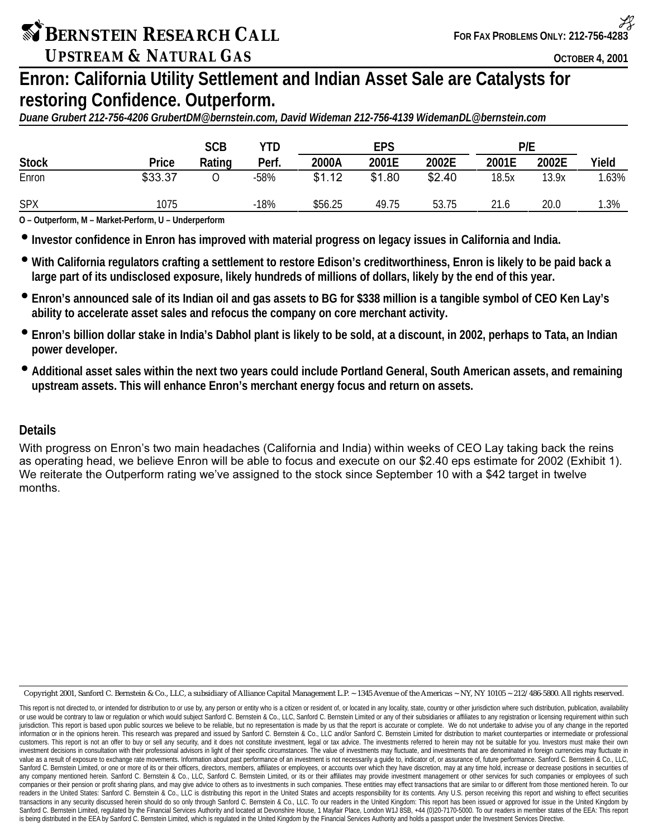*UPSTREAM & NATURAL GAS OCTOBER 4, 2001* 

# **Enron: California Utility Settlement and Indian Asset Sale are Catalysts for restoring Confidence. Outperform.**

*Duane Grubert 212-756-4206 GrubertDM@bernstein.com, David Wideman 212-756-4139 WidemanDL@bernstein.com*

|              |              | <b>SCB</b> | YTD    |         | <b>EPS</b> |        | P/E   |       |       |
|--------------|--------------|------------|--------|---------|------------|--------|-------|-------|-------|
| <b>Stock</b> | <b>Price</b> | Rating     | Perf.  | 2000A   | 2001E      | 2002E  | 2001E | 2002E | Yield |
| Enron        | \$33.37      |            | $-58%$ | \$1.12  | \$1.80     | \$2.40 | 18.5x | 13.9x | .63%  |
| <b>SPX</b>   | 1075         |            | $-18%$ | \$56.25 | 49.75      | 53.75  | 21.6  | 20.0  | 1.3%  |

**O – Outperform, M – Market-Perform, U – Underperform**

• **Investor confidence in Enron has improved with material progress on legacy issues in California and India.**

- **With California regulators crafting a settlement to restore Edison's creditworthiness, Enron is likely to be paid back a large part of its undisclosed exposure, likely hundreds of millions of dollars, likely by the end of this year.**
- **Enron's announced sale of its Indian oil and gas assets to BG for \$338 million is a tangible symbol of CEO Ken Lay's ability to accelerate asset sales and refocus the company on core merchant activity.**
- **Enron's billion dollar stake in India's Dabhol plant is likely to be sold, at a discount, in 2002, perhaps to Tata, an Indian power developer.**
- **Additional asset sales within the next two years could include Portland General, South American assets, and remaining upstream assets. This will enhance Enron's merchant energy focus and return on assets.**

## **Details**

With progress on Enron's two main headaches (California and India) within weeks of CEO Lay taking back the reins as operating head, we believe Enron will be able to focus and execute on our \$2.40 eps estimate for 2002 (Exhibit 1). We reiterate the Outperform rating we've assigned to the stock since September 10 with a \$42 target in twelve months

Copyright 2001, Sanford C. Bernstein & Co., LLC, a subsidiary of Alliance Capital Management L.P. ~ 1345 Avenue of the Americas ~ NY, NY 10105 ~ 212/486-5800. All rights reserved.

This report is not directed to, or intended for distribution to or use by, any person or entity who is a citizen or resident of, or located in any locality, state, country or other jurisdiction where such distribution, pub or use would be contrary to law or regulation or which would subject Sanford C. Bernstein & Co., LLC, Sanford C. Bernstein Limited or any of their subsidiaries or affiliates to any registration or licensing requirement wit jurisdiction. This report is based upon public sources we believe to be reliable, but no representation is made by us that the report is accurate or complete. We do not undertake to advise you of any change in the reported information or in the opinions herein. This research was prepared and issued by Sanford C. Bernstein & Co., LLC and/or Sanford C. Bernstein Limited for distribution to market counterparties or intermediate or professional customers. This report is not an offer to buy or sell any security, and it does not constitute investment, legal or tax advice. The investments referred to herein may not be suitable for you. Investors must make their own investment decisions in consultation with their professional advisors in light of their specific circumstances. The value of investments may fluctuate, and investments that are denominated in foreign currencies may fluctua value as a result of exposure to exchange rate movements. Information about past performance of an investment is not necessarily a guide to, indicator of, or assurance of, future performance. Sanford C. Bernstein & Co., LL Sanford C. Bernstein Limited, or one or more of its or their officers, directors, members, affiliates or employees, or accounts over which they have discretion, may at any time hold, increase or decrease positions in secur any company mentioned herein. Sanford C. Bernstein & Co., LLC, Sanford C. Bernstein Limited, or its or their affiliates may provide investment management or other services for such companies or employees of such companies or their pension or profit sharing plans, and may give advice to others as to investments in such companies. These entities may effect transactions that are similar to or different from those mentioned herein. To readers in the United States: Sanford C. Bernstein & Co., LLC is distributing this report in the United States and accepts responsibility for its contents. Any U.S. person receiving this report and wishing to effect securi transactions in any security discussed herein should do so only through Sanford C. Bernstein & Co., LLC. To our readers in the United Kingdom: This report has been issued or approved for issue in the United Kingdom by Sanford C. Bernstein Limited, regulated by the Financial Services Authority and located at Devonshire House, 1 Mayfair Place, London W1J 8SB, +44 (0)20-7170-5000. To our readers in member states of the EEA: This report is being distributed in the EEA by Sanford C. Bernstein Limited, which is regulated in the United Kingdom by the Financial Services Authority and holds a passport under the Investment Services Directive.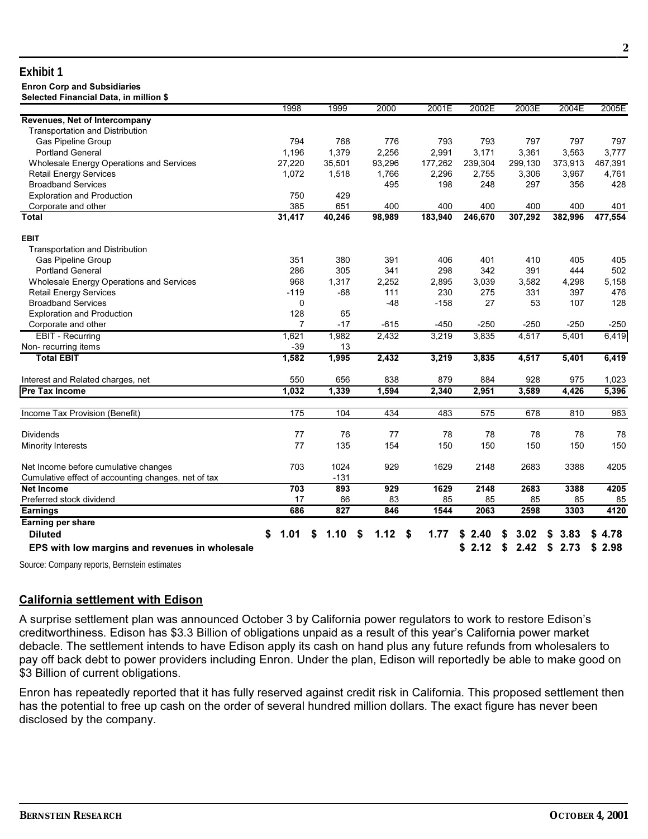#### **Fxhibit 1 Enron Corp and Subsidiaries** nillian ¢

| Selected Fillancial Data, in inimon \$              | 1998       | 1999   | 2000      | 2001E      | 2002E      | 2003E      | 2004E      | 2005E   |
|-----------------------------------------------------|------------|--------|-----------|------------|------------|------------|------------|---------|
| Revenues, Net of Intercompany                       |            |        |           |            |            |            |            |         |
| Transportation and Distribution                     |            |        |           |            |            |            |            |         |
| Gas Pipeline Group                                  | 794        | 768    | 776       | 793        | 793        | 797        | 797        | 797     |
| <b>Portland General</b>                             | 1,196      | 1,379  | 2,256     | 2,991      | 3,171      | 3,361      | 3,563      | 3,777   |
| Wholesale Energy Operations and Services            | 27,220     | 35,501 | 93,296    | 177,262    | 239,304    | 299,130    | 373.913    | 467,391 |
| <b>Retail Energy Services</b>                       | 1.072      | 1,518  | 1,766     | 2.296      | 2.755      | 3,306      | 3.967      | 4,761   |
| <b>Broadband Services</b>                           |            |        | 495       | 198        | 248        | 297        | 356        | 428     |
| <b>Exploration and Production</b>                   | 750        | 429    |           |            |            |            |            |         |
| Corporate and other                                 | 385        | 651    | 400       | 400        | 400        | 400        | 400        | 401     |
| <b>Total</b>                                        | 31,417     | 40,246 | 98,989    | 183,940    | 246,670    | 307,292    | 382,996    | 477,554 |
| <b>EBIT</b>                                         |            |        |           |            |            |            |            |         |
| <b>Transportation and Distribution</b>              |            |        |           |            |            |            |            |         |
| Gas Pipeline Group                                  | 351        | 380    | 391       | 406        | 401        | 410        | 405        | 405     |
| <b>Portland General</b>                             | 286        | 305    | 341       | 298        | 342        | 391        | 444        | 502     |
| Wholesale Energy Operations and Services            | 968        | 1,317  | 2,252     | 2,895      | 3,039      | 3,582      | 4,298      | 5,158   |
| <b>Retail Energy Services</b>                       | $-119$     | $-68$  | 111       | 230        | 275        | 331        | 397        | 476     |
| <b>Broadband Services</b>                           | $\Omega$   |        | $-48$     | $-158$     | 27         | 53         | 107        | 128     |
| <b>Exploration and Production</b>                   | 128        | 65     |           |            |            |            |            |         |
| Corporate and other                                 | 7          | $-17$  | $-615$    | $-450$     | $-250$     | $-250$     | $-250$     | $-250$  |
| <b>EBIT - Recurring</b>                             | 1,621      | 1,982  | 2,432     | 3,219      | 3,835      | 4,517      | 5,401      | 6,419   |
| Non-recurring items                                 | $-39$      | 13     |           |            |            |            |            |         |
| <b>Total EBIT</b>                                   | 1,582      | 1,995  | 2,432     | 3,219      | 3,835      | 4,517      | 5,401      | 6,419   |
| Interest and Related charges, net                   | 550        | 656    | 838       | 879        | 884        | 928        | 975        | 1,023   |
| <b>Pre Tax Income</b>                               | 1,032      | 1,339  | 1,594     | 2,340      | 2,951      | 3,589      | 4,426      | 5,396   |
| Income Tax Provision (Benefit)                      | 175        | 104    | 434       | 483        | 575        | 678        | 810        | 963     |
| <b>Dividends</b>                                    | 77         | 76     | 77        | 78         | 78         | 78         | 78         | 78      |
| <b>Minority Interests</b>                           | 77         | 135    | 154       | 150        | 150        | 150        | 150        | 150     |
| Net Income before cumulative changes                | 703        | 1024   | 929       | 1629       | 2148       | 2683       | 3388       | 4205    |
| Cumulative effect of accounting changes, net of tax |            | $-131$ |           |            |            |            |            |         |
| <b>Net Income</b>                                   | 703        | 893    | 929       | 1629       | 2148       | 2683       | 3388       | 4205    |
| Preferred stock dividend                            | 17         | 66     | 83        | 85         | 85         | 85         | 85         | 85      |
| <b>Earnings</b>                                     | 686        | 827    | 846       | 1544       | 2063       | 2598       | 3303       | 4120    |
| <b>Earning per share</b>                            |            |        |           |            |            |            |            |         |
| <b>Diluted</b>                                      | \$<br>1.01 | 1.10   | 1.12<br>S | \$<br>1.77 | 2.40<br>S  | 3.02       | 3.83<br>S  | \$4.78  |
| EPS with low margins and revenues in wholesale      |            |        |           |            | 2.12<br>\$ | \$<br>2.42 | \$<br>2.73 | \$2.98  |

Source: Company reports, Bernstein estimates

### **California settlement with Edison**

A surprise settlement plan was announced October 3 by California power regulators to work to restore Edison's creditworthiness. Edison has \$3.3 Billion of obligations unpaid as a result of this year's California power market debacle. The settlement intends to have Edison apply its cash on hand plus any future refunds from wholesalers to pay off back debt to power providers including Enron. Under the plan, Edison will reportedly be able to make good on \$3 Billion of current obligations.

Enron has repeatedly reported that it has fully reserved against credit risk in California. This proposed settlement then has the potential to free up cash on the order of several hundred million dollars. The exact figure has never been disclosed by the company.